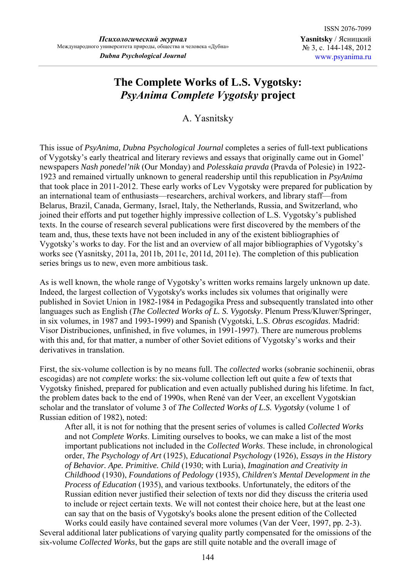## **The Complete Works of L.S. Vygotsky:**  *PsyAnima Complete Vygotsky* **project**

A. Yasnitsky

This issue of *PsyAnima, Dubna Psychological Journal* completes a series of full-text publications of Vygotsky's early theatrical and literary reviews and essays that originally came out in Gomel' newspapers *Nash ponedel'nik* (Our Monday) and *Polesskaia pravda* (Pravda of Polesie) in 1922- 1923 and remained virtually unknown to general readership until this republication in *PsyAnima* that took place in 2011-2012. These early works of Lev Vygotsky were prepared for publication by an international team of enthusiasts—researchers, archival workers, and library staff—from Belarus, Brazil, Canada, Germany, Israel, Italy, the Netherlands, Russia, and Switzerland, who joined their efforts and put together highly impressive collection of L.S. Vygotsky's published texts. In the course of research several publications were first discovered by the members of the team and, thus, these texts have not been included in any of the existent bibliographies of Vygotsky's works to day. For the list and an overview of all major bibliographies of Vygotsky's works see (Yasnitsky, 2011a, 2011b, 2011c, 2011d, 2011e). The completion of this publication series brings us to new, even more ambitious task.

As is well known, the whole range of Vygotsky's written works remains largely unknown up date. Indeed, the largest collection of Vygotsky's works includes six volumes that originally were published in Soviet Union in 1982-1984 in Pedagogika Press and subsequently translated into other languages such as English (*The Collected Works of L. S. Vygotsky*. Plenum Press/Kluwer/Springer, in six volumes, in 1987 and 1993-1999) and Spanish (Vygotski, L.S. *Obras escogidas*. Madrid: Visor Distribuciones, unfinished, in five volumes, in 1991-1997). There are numerous problems with this and, for that matter, a number of other Soviet editions of Vygotsky's works and their derivatives in translation.

First, the six-volume collection is by no means full. The *collected* works (sobranie sochinenii, obras escogidas) are not *complete* works: the six-volume collection left out quite a few of texts that Vygotsky finished, prepared for publication and even actually published during his lifetime. In fact, the problem dates back to the end of 1990s, when René van der Veer, an excellent Vygotskian scholar and the translator of volume 3 of *The Collected Works of L.S. Vygotsky* (volume 1 of Russian edition of 1982), noted:

After all, it is not for nothing that the present series of volumes is called *Collected Works* and not *Complete Works*. Limiting ourselves to books, we can make a list of the most important publications not included in the *Collected Works*. These include, in chronological order, *The Psychology of Art* (1925), *Educational Psychology* (1926), *Essays in the History of Behavior. Ape. Primitive. Child* (1930; with Luria), *Imagination and Creativity in Childhood* (1930), *Foundations of Pedology* (1935), *Children's Mental Development in the Process of Education* (1935), and various textbooks. Unfortunately, the editors of the Russian edition never justified their selection of texts nor did they discuss the criteria used to include or reject certain texts. We will not contest their choice here, but at the least one can say that on the basis of Vygotsky's books alone the present edition of the Collected

Works could easily have contained several more volumes (Van der Veer, 1997, pp. 2-3). Several additional later publications of varying quality partly compensated for the omissions of the six-volume *Collected Works*, but the gaps are still quite notable and the overall image of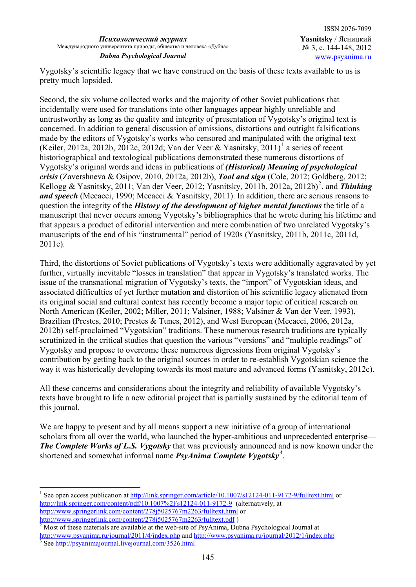Vygotsky's scientific legacy that we have construed on the basis of these texts available to us is pretty much lopsided.

Second, the six volume collected works and the majority of other Soviet publications that incidentally were used for translations into other languages appear highly unreliable and untrustworthy as long as the quality and integrity of presentation of Vygotsky's original text is concerned. In addition to general discussion of omissions, distortions and outright falsifications made by the editors of Vygotsky's works who censored and manipulated with the original text (Keiler, 20[1](#page-1-0)2a, 2012b, 2012c, 2012d; Van der Veer & Yasnitsky, 2011)<sup>1</sup> a series of recent historiographical and textological publications demonstrated these numerous distortions of Vygotsky's original words and ideas in publications of *(Historical) Meaning of psychological crisis* (Zavershneva & Osipov, 2010, 2012a, 2012b), *Tool and sign* (Cole, 2012; Goldberg, 2012; Kellogg & Yasnitsky, [2](#page-1-1)011; Van der Veer, 2012; Yasnitsky, 2011b, 2012a, 2012b)<sup>2</sup>, and *Thinking and speech* (Mecacci, 1990; Mecacci & Yasnitsky, 2011). In addition, there are serious reasons to question the integrity of the *History of the development of higher mental functions* the title of a manuscript that never occurs among Vygotsky's bibliographies that he wrote during his lifetime and that appears a product of editorial intervention and mere combination of two unrelated Vygotsky's manuscripts of the end of his "instrumental" period of 1920s (Yasnitsky, 2011b, 2011c, 2011d, 2011e).

Third, the distortions of Soviet publications of Vygotsky's texts were additionally aggravated by yet further, virtually inevitable "losses in translation" that appear in Vygotsky's translated works. The issue of the transnational migration of Vygotsky's texts, the "import" of Vygotskian ideas, and associated difficulties of yet further mutation and distortion of his scientific legacy alienated from its original social and cultural context has recently become a major topic of critical research on North American (Keiler, 2002; Miller, 2011; Valsiner, 1988; Valsiner & Van der Veer, 1993), Brazilian (Prestes, 2010; Prestes & Tunes, 2012), and West European (Mecacci, 2006, 2012a, 2012b) self-proclaimed "Vygotskian" traditions. These numerous research traditions are typically scrutinized in the critical studies that question the various "versions" and "multiple readings" of Vygotsky and propose to overcome these numerous digressions from original Vygotsky's contribution by getting back to the original sources in order to re-establish Vygotskian science the way it was historically developing towards its most mature and advanced forms (Yasnitsky, 2012c).

All these concerns and considerations about the integrity and reliability of available Vygotsky's texts have brought to life a new editorial project that is partially sustained by the editorial team of this journal.

We are happy to present and by all means support a new initiative of a group of international scholars from all over the world, who launched the hyper-ambitious and unprecedented enterprise— *The Complete Works of L.S. Vygotsky* that was previously announced and is now known under the shortened and somewhat informal name *PsyAnima Complete Vygotsky[3](#page-1-2)* .

 $\overline{a}$ 

<span id="page-1-0"></span><sup>&</sup>lt;sup>1</sup> See open access publication at <http://link.springer.com/article/10.1007/s12124-011-9172-9/fulltext.html> or <http://link.springer.com/content/pdf/10.1007%2Fs12124-011-9172-9> (alternatively, at <http://www.springerlink.com/content/278j5025767m2263/fulltext.html>or http://www.springerlink.com/content/[2](http://www.springerlink.com/content/278j5025767m2263/fulltext.pdf)78j5025767m2263/fulltext.pdf)

<span id="page-1-1"></span>Most of these materials are available at the web-site of PsyAnima, Dubna Psychological Journal at

<span id="page-1-2"></span><http://www.psyanima.ru/journal/2011/4/index.php> and http://www.psyanima.ru/journal/2012/1/index.php See<http://psyanimajournal.livejournal.com/3526.html>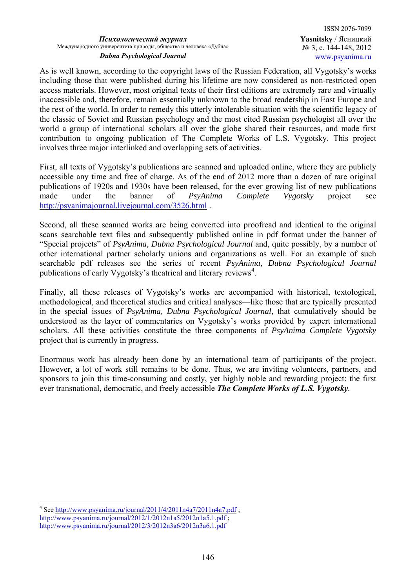As is well known, according to the copyright laws of the Russian Federation, all Vygotsky's works including those that were published during his lifetime are now considered as non-restricted open access materials. However, most original texts of their first editions are extremely rare and virtually inaccessible and, therefore, remain essentially unknown to the broad readership in East Europe and the rest of the world. In order to remedy this utterly intolerable situation with the scientific legacy of the classic of Soviet and Russian psychology and the most cited Russian psychologist all over the world a group of international scholars all over the globe shared their resources, and made first contribution to ongoing publication of The Complete Works of L.S. Vygotsky. This project involves three major interlinked and overlapping sets of activities.

First, all texts of Vygotsky's publications are scanned and uploaded online, where they are publicly accessible any time and free of charge. As of the end of 2012 more than a dozen of rare original publications of 1920s and 1930s have been released, for the ever growing list of new publications made under the banner of *PsyAnima Complete Vygotsky* project see <http://psyanimajournal.livejournal.com/3526.html> .

Second, all these scanned works are being converted into proofread and identical to the original scans searchable text files and subsequently published online in pdf format under the banner of "Special projects" of *PsyAnima, Dubna Psychological Journal* and, quite possibly, by a number of other international partner scholarly unions and organizations as well. For an example of such searchable pdf releases see the series of recent *PsyAnima, Dubna Psychological Journal* publications of early Vygotsky's theatrical and literary reviews<sup>[4](#page-2-0)</sup>.

Finally, all these releases of Vygotsky's works are accompanied with historical, textological, methodological, and theoretical studies and critical analyses—like those that are typically presented in the special issues of *PsyAnima, Dubna Psychological Journal*, that cumulatively should be understood as the layer of commentaries on Vygotsky's works provided by expert international scholars. All these activities constitute the three components of *PsyAnima Complete Vygotsky* project that is currently in progress.

Enormous work has already been done by an international team of participants of the project. However, a lot of work still remains to be done. Thus, we are inviting volunteers, partners, and sponsors to join this time-consuming and costly, yet highly noble and rewarding project: the first ever transnational, democratic, and freely accessible *The Complete Works of L.S. Vygotsky.*

 $\overline{a}$ 

<span id="page-2-0"></span><sup>&</sup>lt;sup>4</sup> See<http://www.psyanima.ru/journal/2011/4/2011n4a7/2011n4a7.pdf>; <http://www.psyanima.ru/journal/2012/1/2012n1a5/2012n1a5.1.pdf>; <http://www.psyanima.ru/journal/2012/3/2012n3a6/2012n3a6.1.pdf>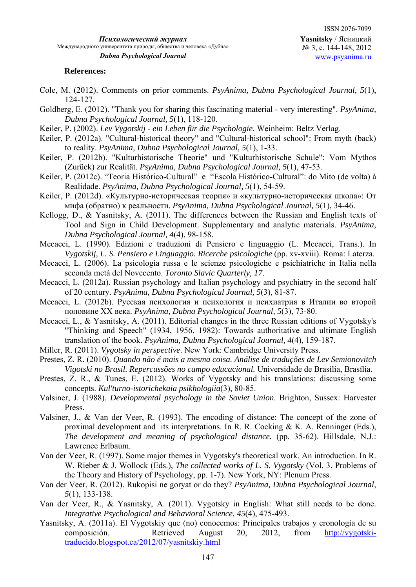## **References:**

- Cole, M. (2012). Comments on prior comments. *PsyAnima, Dubna Psychological Journal, 5*(1), 124-127.
- Goldberg, E. (2012). "Thank you for sharing this fascinating material very interesting". *PsyAnima, Dubna Psychological Journal, 5*(1), 118-120.
- Keiler, P. (2002). *Lev Vygotskij ein Leben für die Psychologie*. Weinheim: Beltz Verlag.
- Keiler, P. (2012a). "Cultural-historical theory" and "Cultural-historical school": From myth (back) to reality. *PsyAnima, Dubna Psychological Journal, 5*(1), 1-33.
- Keiler, P. (2012b). "Kulturhistorische Theorie" und "Kulturhistorische Schule": Vom Mythos (Zurück) zur Realität. *PsyAnima, Dubna Psychological Journal, 5*(1), 47-53.
- Keiler, P. (2012c). "Teoria Histórico-Cultural" e "Escola Histórico-Cultural": do Mito (de volta) à Realidade. *PsyAnima, Dubna Psychological Journal, 5*(1), 54-59.
- Keiler, P. (2012d). «Культурно-историческая теория» и «культурно-историческая школа»: От мифа (обратно) к реальности. *PsyAnima, Dubna Psychological Journal, 5*(1), 34-46.
- Kellogg, D., & Yasnitsky, A. (2011). The differences between the Russian and English texts of Tool and Sign in Child Development. Supplementary and analytic materials. *PsyAnima, Dubna Psychological Journal, 4*(4), 98-158.
- Mecacci, L. (1990). Edizioni e traduzioni di Pensiero e linguaggio (L. Mecacci, Trans.). In *Vygotskij, L. S. Pensiero e Linguaggio. Ricerche psicologiche* (pp. xv-xviii). Roma: Laterza.
- Mecacci, L. (2006). La psicologia russa e le scienze psicologiche e psichiatriche in Italia nella seconda metà del Novecento. *Toronto Slavic Quarterly, 17*.
- Mecacci, L. (2012a). Russian psychology and Italian psychology and psychiatry in the second half of 20 century. *PsyAnima, Dubna Psychological Journal, 5*(3), 81-87.
- Mecacci, L. (2012b). Русская психология и психология и психиатрия в Италии во второй половине ХХ века. *PsyAnima, Dubna Psychological Journal, 5*(3), 73-80.
- Mecacci, L., & Yasnitsky, A. (2011). Editorial changes in the three Russian editions of Vygotsky's "Thinking and Speech" (1934, 1956, 1982): Towards authoritative and ultimate English translation of the book. *PsyAnima, Dubna Psychological Journal, 4*(4), 159-187.
- Miller, R. (2011). *Vygotsky in perspective*. New York: Cambridge University Press.
- Prestes, Z. R. (2010). *Quando não é mais a mesma coisa. Análise de traduções de Lev Semionovitch Vigotski no Brasil. Repercussões no campo educacional.* Universidade de Brasília, Brasília.
- Prestes, Z. R., & Tunes, E. (2012). Works of Vygotsky and his translations: discussing some concepts. *Kul'turno-istorichekaia psikhologiia*(3), 80-85.
- Valsiner, J. (1988). *Developmental psychology in the Soviet Union*. Brighton, Sussex: Harvester Press.
- Valsiner, J., & Van der Veer, R. (1993). The encoding of distance: The concept of the zone of proximal development and its interpretations. In R. R. Cocking  $& K$ . A. Renninger (Eds.), *The development and meaning of psychological distance.* (pp. 35-62). Hillsdale, N.J.: Lawrence Erlbaum.
- Van der Veer, R. (1997). Some major themes in Vygotsky's theoretical work. An introduction. In R. W. Rieber & J. Wollock (Eds.), *The collected works of L. S. Vygotsky* (Vol. 3. Problems of the Theory and History of Psychology, pp. 1-7). New York, NY: Plenum Press.
- Van der Veer, R. (2012). Rukopisi ne goryat or do they? *PsyAnima, Dubna Psychological Journal, 5*(1), 133-138.
- Van der Veer, R., & Yasnitsky, A. (2011). Vygotsky in English: What still needs to be done. *Integrative Psychological and Behavioral Science, 45*(4), 475-493.
- Yasnitsky, A. (2011a). El Vygotskiy que (no) conocemos: Principales trabajos y cronología de su composición. Retrieved August 20, 2012, from [http://vygotski](http://vygotski-traducido.blogspot.ca/2012/07/yasnitskiy.html)[traducido.blogspot.ca/2012/07/yasnitskiy.html](http://vygotski-traducido.blogspot.ca/2012/07/yasnitskiy.html)